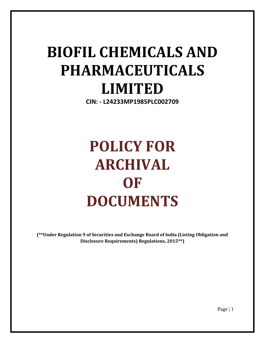# **BIOFIL CHEMICALS AND PHARMACEUTICALS LIMITED**

**CIN: - L24233MP1985PLC002709**

# **POLICY FOR ARCHIVAL OF DOCUMENTS**

**(\*\*Under Regulation 9 of Securities and Exchange Board of India (Listing Obligation and Disclosure Requirements) Regulations, 2015\*\*)**

Page | 1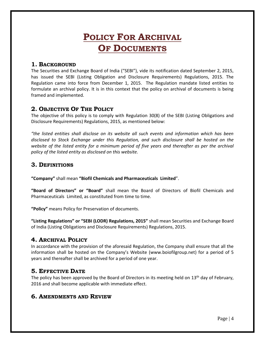# **POLICY FOR ARCHIVAL OF DOCUMENTS**

#### **1. BACKGROUND**

The Securities and Exchange Board of India ("SEBI"), vide its notification dated September 2, 2015, has issued the SEBI (Listing Obligation and Disclosure Requirements) Regulations, 2015. The Regulation came into force from December 1, 2015. The Regulation mandate listed entities to formulate an archival policy. It is in this context that the policy on archival of documents is being framed and implemented.

## **2. OBJECTIVE OF THE POLICY**

The objective of this policy is to comply with Regulation 30(8) of the SEBI (Listing Obligations and Disclosure Requirements) Regulations, 2015, as mentioned below:

*"the listed entities shall disclose on its website all such events and information which has been disclosed to Stock Exchange under this Regulation, and such disclosure shall be hosted on the website of the listed entity for a minimum period of five years and thereafter as per the archival policy of the listed entity as disclosed on this website.* 

#### **3. DEFINITIONS**

**"Company"** shall mean **"Biofil Chemicals and Pharmaceuticals Limited**".

**"Board of Directors" or "Board"** shall mean the Board of Directors of Biofil Chemicals and Pharmaceuticals Limited, as constituted from time to time.

**"Policy"** means Policy for Preservation of documents.

**"Listing Regulations" or "SEBI (LODR) Regulations, 2015"** shall mean Securities and Exchange Board of India (Listing Obligations and Disclosure Requirements) Regulations, 2015.

#### **4. ARCHIVAL POLICY**

In accordance with the provision of the aforesaid Regulation, the Company shall ensure that all the information shall be hosted on the Company's Website (www.boiofilgroup.net) for a period of 5 years and thereafter shall be archived for a period of one year.

### **5. EFFECTIVE DATE**

The policy has been approved by the Board of Directors in its meeting held on 13<sup>th</sup> day of February, 2016 and shall become applicable with immediate effect.

### **6. AMENDMENTS AND REVIEW**